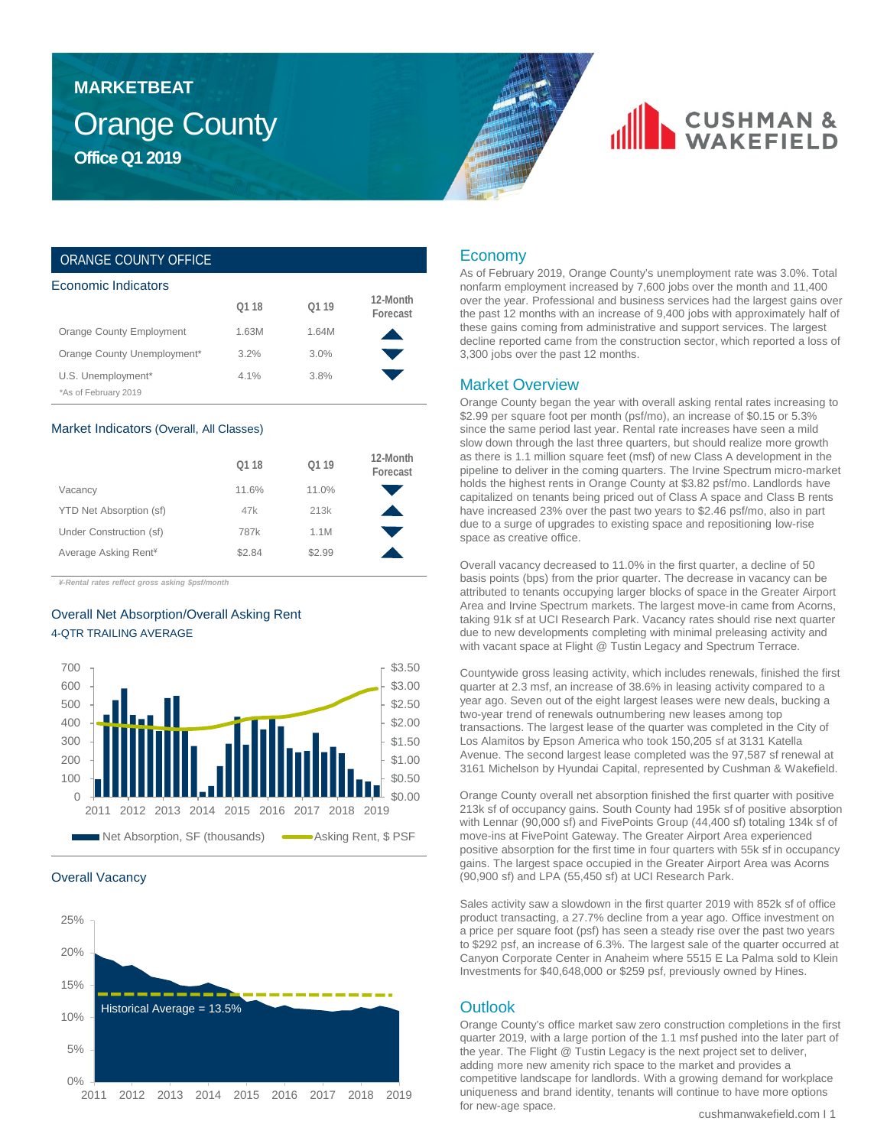## Orange County **Office Q1 2019 MARKETBEAT**

## **CUSHMAN &**

## ORANGE COUNTY OFFICE

| Economic Indicators         |       |       |                      |  |  |  |  |
|-----------------------------|-------|-------|----------------------|--|--|--|--|
|                             | 01 18 | 01 19 | 12-Month<br>Forecast |  |  |  |  |
| Orange County Employment    | 1.63M | 1.64M |                      |  |  |  |  |
| Orange County Unemployment* | 3.2%  | 3.0%  |                      |  |  |  |  |
| U.S. Unemployment*          | 4.1%  | 3.8%  |                      |  |  |  |  |
| *As of February 2019        |       |       |                      |  |  |  |  |

#### Market Indicators (Overall, All Classes)

| 0118   | 0119   | 12-Month<br>Forecast |
|--------|--------|----------------------|
| 11.6%  | 11.0%  |                      |
| 47k    | 213k   |                      |
| 787k   | 1.1M   |                      |
| \$2.84 | \$2.99 |                      |
|        |        |                      |

*¥-Rental rates reflect gross asking \$psf/month*

## Overall Net Absorption/Overall Asking Rent 4-QTR TRAILING AVERAGE



#### Overall Vacancy



## Economy

As of February 2019, Orange County's unemployment rate was 3.0%. Total nonfarm employment increased by 7,600 jobs over the month and 11,400 over the year. Professional and business services had the largest gains over the past 12 months with an increase of 9,400 jobs with approximately half of these gains coming from administrative and support services. The largest decline reported came from the construction sector, which reported a loss of 3,300 jobs over the past 12 months.

### Market Overview

Orange County began the year with overall asking rental rates increasing to \$2.99 per square foot per month (psf/mo), an increase of \$0.15 or 5.3% since the same period last year. Rental rate increases have seen a mild slow down through the last three quarters, but should realize more growth as there is 1.1 million square feet (msf) of new Class A development in the pipeline to deliver in the coming quarters. The Irvine Spectrum micro-market holds the highest rents in Orange County at \$3.82 psf/mo. Landlords have capitalized on tenants being priced out of Class A space and Class B rents have increased 23% over the past two years to \$2.46 psf/mo, also in part due to a surge of upgrades to existing space and repositioning low-rise space as creative office.

Overall vacancy decreased to 11.0% in the first quarter, a decline of 50 basis points (bps) from the prior quarter. The decrease in vacancy can be attributed to tenants occupying larger blocks of space in the Greater Airport Area and Irvine Spectrum markets. The largest move-in came from Acorns, taking 91k sf at UCI Research Park. Vacancy rates should rise next quarter due to new developments completing with minimal preleasing activity and with vacant space at Flight @ Tustin Legacy and Spectrum Terrace.

Countywide gross leasing activity, which includes renewals, finished the first quarter at 2.3 msf, an increase of 38.6% in leasing activity compared to a year ago. Seven out of the eight largest leases were new deals, bucking a two-year trend of renewals outnumbering new leases among top transactions. The largest lease of the quarter was completed in the City of Los Alamitos by Epson America who took 150,205 sf at 3131 Katella Avenue. The second largest lease completed was the 97,587 sf renewal at 3161 Michelson by Hyundai Capital, represented by Cushman & Wakefield.

Orange County overall net absorption finished the first quarter with positive 213k sf of occupancy gains. South County had 195k sf of positive absorption with Lennar (90,000 sf) and FivePoints Group (44,400 sf) totaling 134k sf of move-ins at FivePoint Gateway. The Greater Airport Area experienced positive absorption for the first time in four quarters with 55k sf in occupancy gains. The largest space occupied in the Greater Airport Area was Acorns (90,900 sf) and LPA (55,450 sf) at UCI Research Park.

Sales activity saw a slowdown in the first quarter 2019 with 852k sf of office product transacting, a 27.7% decline from a year ago. Office investment on a price per square foot (psf) has seen a steady rise over the past two years to \$292 psf, an increase of 6.3%. The largest sale of the quarter occurred at Canyon Corporate Center in Anaheim where 5515 E La Palma sold to Klein Investments for \$40,648,000 or \$259 psf, previously owned by Hines.

## **Outlook**

Orange County's office market saw zero construction completions in the first quarter 2019, with a large portion of the 1.1 msf pushed into the later part of the year. The Flight @ Tustin Legacy is the next project set to deliver, adding more new amenity rich space to the market and provides a competitive landscape for landlords. With a growing demand for workplace uniqueness and brand identity, tenants will continue to have more options for new-age space.

cushmanwakefield.com I 1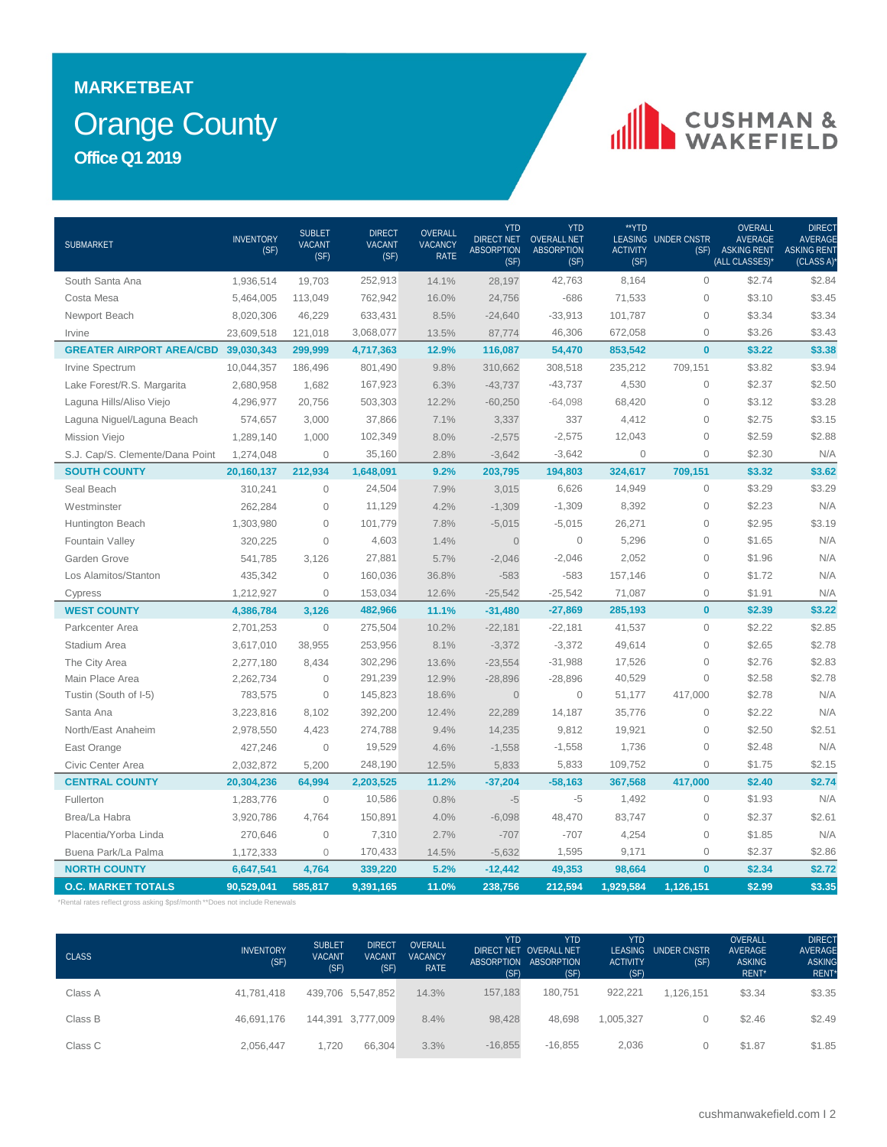## Orange County **MARKETBEAT Office Q1 2019**

# CUSHMAN &

| SUBMARKET                                  | <b>INVENTORY</b><br>(SF) | <b>SUBLET</b><br><b>VACANT</b><br>(SF) | <b>DIRECT</b><br><b>VACANT</b><br>(SF) | OVERALL<br><b>VACANCY</b><br><b>RATE</b> | <b>YTD</b><br><b>DIRECT NET</b><br><b>ABSORPTION</b><br>(SF) | <b>YTD</b><br><b>OVERALL NET</b><br><b>ABSORPTION</b><br>(SF) | **YTD<br><b>ACTIVITY</b><br>(SF) | <b>LEASING UNDER CNSTR</b><br>(SF) | OVERALL<br><b>AVERAGE</b><br><b>ASKING RENT</b><br>(ALL CLASSES)* | <b>DIRECT</b><br>AVERAGE<br><b>ASKING RENT</b><br>(CLASS A) |
|--------------------------------------------|--------------------------|----------------------------------------|----------------------------------------|------------------------------------------|--------------------------------------------------------------|---------------------------------------------------------------|----------------------------------|------------------------------------|-------------------------------------------------------------------|-------------------------------------------------------------|
| South Santa Ana                            | 1,936,514                | 19,703                                 | 252,913                                | 14.1%                                    | 28,197                                                       | 42,763                                                        | 8,164                            | $\overline{0}$                     | \$2.74                                                            | \$2.84                                                      |
| Costa Mesa                                 | 5,464,005                | 113,049                                | 762,942                                | 16.0%                                    | 24,756                                                       | $-686$                                                        | 71,533                           | $\circ$                            | \$3.10                                                            | \$3.45                                                      |
| Newport Beach                              | 8,020,306                | 46,229                                 | 633,431                                | 8.5%                                     | $-24,640$                                                    | $-33,913$                                                     | 101,787                          | $\mathbf 0$                        | \$3.34                                                            | \$3.34                                                      |
| Irvine                                     | 23,609,518               | 121,018                                | 3,068,077                              | 13.5%                                    | 87,774                                                       | 46,306                                                        | 672,058                          | $\mathbf 0$                        | \$3.26                                                            | \$3.43                                                      |
| <b>GREATER AIRPORT AREA/CBD 39,030,343</b> |                          | 299,999                                | 4,717,363                              | 12.9%                                    | 116,087                                                      | 54,470                                                        | 853,542                          | $\mathbf{0}$                       | \$3.22                                                            | \$3.38                                                      |
| Irvine Spectrum                            | 10,044,357               | 186,496                                | 801,490                                | 9.8%                                     | 310,662                                                      | 308,518                                                       | 235,212                          | 709,151                            | \$3.82                                                            | \$3.94                                                      |
| Lake Forest/R.S. Margarita                 | 2,680,958                | 1,682                                  | 167,923                                | 6.3%                                     | $-43,737$                                                    | $-43,737$                                                     | 4,530                            | $\mathbf 0$                        | \$2.37                                                            | \$2.50                                                      |
| Laguna Hills/Aliso Viejo                   | 4,296,977                | 20,756                                 | 503,303                                | 12.2%                                    | $-60,250$                                                    | $-64,098$                                                     | 68,420                           | $\mathbf 0$                        | \$3.12                                                            | \$3.28                                                      |
| Laguna Niguel/Laguna Beach                 | 574,657                  | 3,000                                  | 37,866                                 | 7.1%                                     | 3,337                                                        | 337                                                           | 4,412                            | $\mathbf 0$                        | \$2.75                                                            | \$3.15                                                      |
| Mission Viejo                              | 1,289,140                | 1,000                                  | 102,349                                | 8.0%                                     | $-2,575$                                                     | $-2,575$                                                      | 12,043                           | $\mathbf 0$                        | \$2.59                                                            | \$2.88                                                      |
| S.J. Cap/S. Clemente/Dana Point            | 1,274,048                | $\mathbf{0}$                           | 35,160                                 | 2.8%                                     | $-3,642$                                                     | $-3,642$                                                      | $\mathbf 0$                      | $\circ$                            | \$2.30                                                            | N/A                                                         |
| <b>SOUTH COUNTY</b>                        | 20,160,137               | 212,934                                | 1,648,091                              | 9.2%                                     | 203,795                                                      | 194,803                                                       | 324,617                          | 709,151                            | \$3.32                                                            | \$3.62                                                      |
| Seal Beach                                 | 310,241                  | $\circ$                                | 24,504                                 | 7.9%                                     | 3,015                                                        | 6,626                                                         | 14,949                           | $\mathbf 0$                        | \$3.29                                                            | \$3.29                                                      |
| Westminster                                | 262,284                  | $\overline{0}$                         | 11,129                                 | 4.2%                                     | $-1,309$                                                     | $-1,309$                                                      | 8,392                            | $\mathsf{O}\xspace$                | \$2.23                                                            | N/A                                                         |
| Huntington Beach                           | 1,303,980                | $\overline{0}$                         | 101,779                                | 7.8%                                     | $-5,015$                                                     | $-5,015$                                                      | 26,271                           | $\mathbf 0$                        | \$2.95                                                            | \$3.19                                                      |
| Fountain Valley                            | 320,225                  | $\Omega$                               | 4,603                                  | 1.4%                                     | $\Omega$                                                     | $\mathbf{0}$                                                  | 5,296                            | $\overline{0}$                     | \$1.65                                                            | N/A                                                         |
| Garden Grove                               | 541,785                  | 3,126                                  | 27,881                                 | 5.7%                                     | $-2,046$                                                     | $-2,046$                                                      | 2,052                            | $\mathbf 0$                        | \$1.96                                                            | N/A                                                         |
| Los Alamitos/Stanton                       | 435,342                  | $\overline{0}$                         | 160,036                                | 36.8%                                    | $-583$                                                       | $-583$                                                        | 157,146                          | $\mathbf 0$                        | \$1.72                                                            | N/A                                                         |
| Cypress                                    | 1,212,927                | $\overline{0}$                         | 153,034                                | 12.6%                                    | $-25,542$                                                    | $-25,542$                                                     | 71,087                           | $\overline{0}$                     | \$1.91                                                            | N/A                                                         |
| <b>WEST COUNTY</b>                         | 4,386,784                | 3,126                                  | 482,966                                | 11.1%                                    | $-31,480$                                                    | $-27,869$                                                     | 285,193                          | $\mathbf{0}$                       | \$2.39                                                            | \$3.22                                                      |
| Parkcenter Area                            | 2,701,253                | $\overline{0}$                         | 275,504                                | 10.2%                                    | $-22,181$                                                    | $-22,181$                                                     | 41,537                           | $\mathbf 0$                        | \$2.22                                                            | \$2.85                                                      |
| Stadium Area                               | 3,617,010                | 38,955                                 | 253,956                                | 8.1%                                     | $-3,372$                                                     | $-3,372$                                                      | 49,614                           | $\circ$                            | \$2.65                                                            | \$2.78                                                      |
| The City Area                              | 2,277,180                | 8,434                                  | 302,296                                | 13.6%                                    | $-23,554$                                                    | $-31,988$                                                     | 17,526                           | $\overline{0}$                     | \$2.76                                                            | \$2.83                                                      |
| Main Place Area                            | 2,262,734                | $\overline{0}$                         | 291,239                                | 12.9%                                    | $-28,896$                                                    | $-28,896$                                                     | 40,529                           | $\mathbf 0$                        | \$2.58                                                            | \$2.78                                                      |
| Tustin (South of I-5)                      | 783,575                  | $\overline{0}$                         | 145,823                                | 18.6%                                    | $\overline{0}$                                               | $\mathbf 0$                                                   | 51,177                           | 417,000                            | \$2.78                                                            | N/A                                                         |
| Santa Ana                                  | 3,223,816                | 8,102                                  | 392,200                                | 12.4%                                    | 22,289                                                       | 14,187                                                        | 35,776                           | $\mathbf 0$                        | \$2.22                                                            | N/A                                                         |
| North/East Anaheim                         | 2,978,550                | 4,423                                  | 274,788                                | 9.4%                                     | 14,235                                                       | 9,812                                                         | 19,921                           | $\mathbf 0$                        | \$2.50                                                            | \$2.51                                                      |
| East Orange                                | 427,246                  | $\overline{0}$                         | 19,529                                 | 4.6%                                     | $-1,558$                                                     | $-1,558$                                                      | 1,736                            | $\mathbf 0$                        | \$2.48                                                            | N/A                                                         |
| Civic Center Area                          | 2,032,872                | 5,200                                  | 248,190                                | 12.5%                                    | 5,833                                                        | 5,833                                                         | 109,752                          | $\circ$                            | \$1.75                                                            | \$2.15                                                      |
| <b>CENTRAL COUNTY</b>                      | 20,304,236               | 64,994                                 | 2,203,525                              | 11.2%                                    | $-37,204$                                                    | $-58,163$                                                     | 367,568                          | 417,000                            | \$2.40                                                            | \$2.74                                                      |
| Fullerton                                  | 1,283,776                | $\mathbf 0$                            | 10,586                                 | 0.8%                                     | $-5$                                                         | -5                                                            | 1,492                            | $\mathbf 0$                        | \$1.93                                                            | N/A                                                         |
| Brea/La Habra                              | 3,920,786                | 4,764                                  | 150,891                                | 4.0%                                     | $-6,098$                                                     | 48,470                                                        | 83,747                           | $\circ$                            | \$2.37                                                            | \$2.61                                                      |
| Placentia/Yorba Linda                      | 270,646                  | $\mathbf{0}$                           | 7,310                                  | 2.7%                                     | $-707$                                                       | $-707$                                                        | 4,254                            | $\overline{0}$                     | \$1.85                                                            | N/A                                                         |
| Buena Park/La Palma                        | 1,172,333                | $\mathbf{0}$                           | 170,433                                | 14.5%                                    | $-5,632$                                                     | 1,595                                                         | 9,171                            | $\circ$                            | \$2.37                                                            | \$2.86                                                      |
| <b>NORTH COUNTY</b>                        | 6,647,541                | 4,764                                  | 339,220                                | 5.2%                                     | $-12,442$                                                    | 49,353                                                        | 98,664                           | $\mathbf{0}$                       | \$2.34                                                            | \$2.72                                                      |
| <b>O.C. MARKET TOTALS</b>                  | 90,529,041               | 585,817                                | 9,391,165                              | 11.0%                                    | 238,756                                                      | 212,594                                                       | 1,929,584                        | 1,126,151                          | \$2.99                                                            | \$3.35                                                      |

\*Rental rates reflect gross asking \$psf/month \*\*Does not include Renewals

| <b>CLASS</b> | <b>INVENTORY</b><br>(SF) | <b>SUBLET</b><br><b>VACANT</b><br>(SF) | <b>DIRECT</b><br><b>VACANT</b><br>(SF) | <b>OVERALL</b><br><b>VACANCY</b><br><b>RATE</b> | YTD.<br>(SF) | <b>YTD</b><br>DIRECT NET OVERALL NET<br>ABSORPTION ABSORPTION<br>(SF) | <b>YTD</b><br><b>ACTIVITY</b><br>(SF) | LEASING UNDER CNSTR<br>(SF) | <b>OVERALL</b><br>AVERAGE<br><b>ASKING</b><br>RENT* | <b>DIRECT</b><br>AVERAGE<br><b>ASKING</b><br>RENT* |
|--------------|--------------------------|----------------------------------------|----------------------------------------|-------------------------------------------------|--------------|-----------------------------------------------------------------------|---------------------------------------|-----------------------------|-----------------------------------------------------|----------------------------------------------------|
| Class A      | 41.781.418               |                                        | 439,706 5,547,852                      | 14.3%                                           | 157.183      | 180.751                                                               | 922.221                               | 1.126.151                   | \$3.34                                              | \$3.35                                             |
| Class B      | 46.691.176               |                                        | 144.391 3.777.009                      | 8.4%                                            | 98.428       | 48.698                                                                | 1.005.327                             |                             | \$2.46                                              | \$2.49                                             |
| Class C      | 2.056.447                | 1,720                                  | 66.304                                 | 3.3%                                            | $-16,855$    | $-16.855$                                                             | 2,036                                 | 0                           | \$1.87                                              | \$1.85                                             |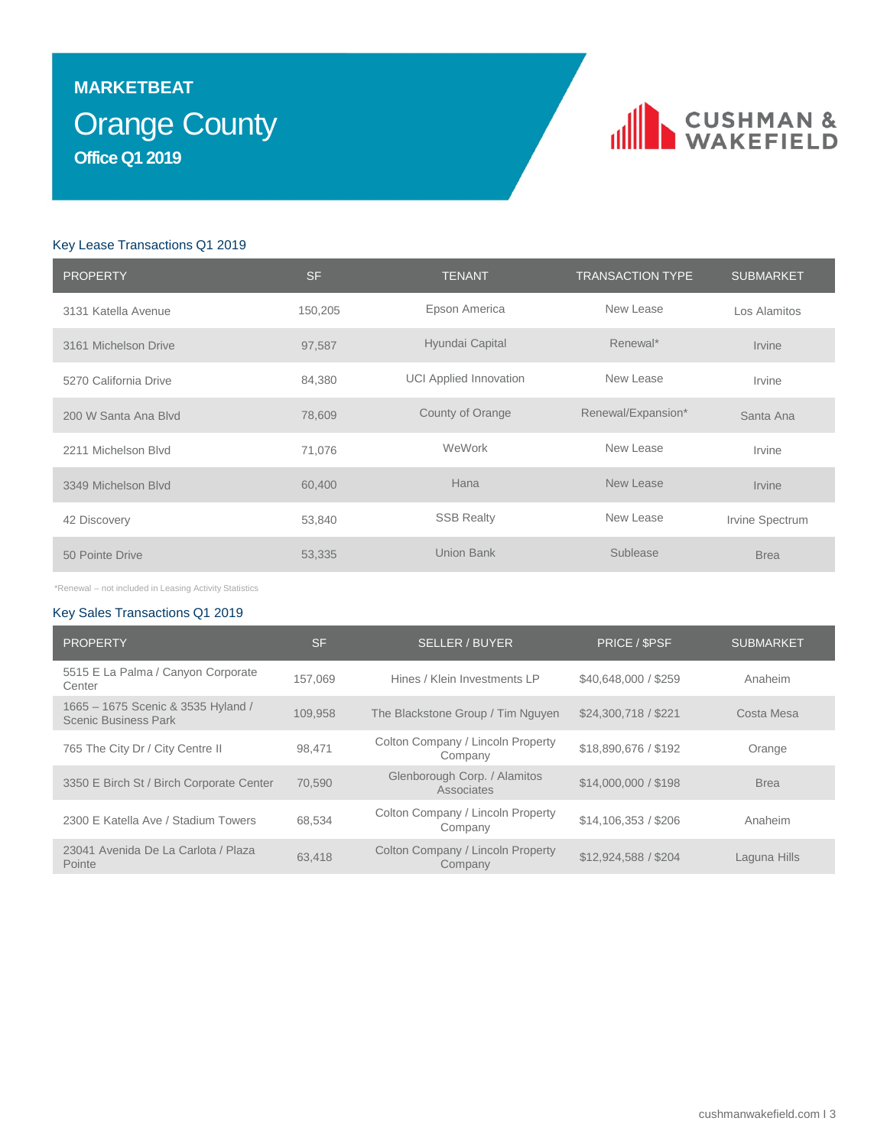## Orange County **MARKETBEAT Office Q1 2019**

# CUSHMAN &

## Key Lease Transactions Q1 2019

| <b>PROPERTY</b>       | <b>SF</b> | <b>TENANT</b>                 | <b>TRANSACTION TYPE</b> | <b>SUBMARKET</b> |
|-----------------------|-----------|-------------------------------|-------------------------|------------------|
| 3131 Katella Avenue   | 150,205   | Epson America                 | New Lease               | Los Alamitos     |
| 3161 Michelson Drive  | 97,587    | Hyundai Capital               | Renewal*                | <b>Irvine</b>    |
| 5270 California Drive | 84,380    | <b>UCI Applied Innovation</b> | New Lease               | Irvine           |
| 200 W Santa Ana Blvd  | 78,609    | County of Orange              | Renewal/Expansion*      | Santa Ana        |
| 2211 Michelson Blvd   | 71,076    | WeWork                        | New Lease               | Irvine           |
| 3349 Michelson Blvd   | 60,400    | Hana                          | New Lease               | Irvine           |
| 42 Discovery          | 53,840    | <b>SSB Realty</b>             | New Lease               | Irvine Spectrum  |
| 50 Pointe Drive       | 53,335    | <b>Union Bank</b>             | Sublease                | <b>Brea</b>      |

\*Renewal – not included in Leasing Activity Statistics

## Key Sales Transactions Q1 2019

| <b>PROPERTY</b>                                            | <b>SF</b> | <b>SELLER / BUYER</b>                        | PRICE / \$PSF        | <b>SUBMARKET</b> |
|------------------------------------------------------------|-----------|----------------------------------------------|----------------------|------------------|
| 5515 E La Palma / Canyon Corporate<br>Center               | 157.069   | Hines / Klein Investments LP                 | \$40,648,000 / \$259 | Anaheim          |
| 1665 - 1675 Scenic & 3535 Hyland /<br>Scenic Business Park | 109.958   | The Blackstone Group / Tim Nguyen            | \$24,300,718 / \$221 | Costa Mesa       |
| 765 The City Dr / City Centre II                           | 98.471    | Colton Company / Lincoln Property<br>Company | \$18,890,676 / \$192 | Orange           |
| 3350 E Birch St / Birch Corporate Center                   | 70.590    | Glenborough Corp. / Alamitos<br>Associates   | \$14,000,000 / \$198 | <b>Brea</b>      |
| 2300 E Katella Ave / Stadium Towers                        | 68,534    | Colton Company / Lincoln Property<br>Company | \$14,106,353 / \$206 | Anaheim          |
| 23041 Avenida De La Carlota / Plaza<br>Pointe              | 63.418    | Colton Company / Lincoln Property<br>Company | \$12,924,588 / \$204 | Laguna Hills     |